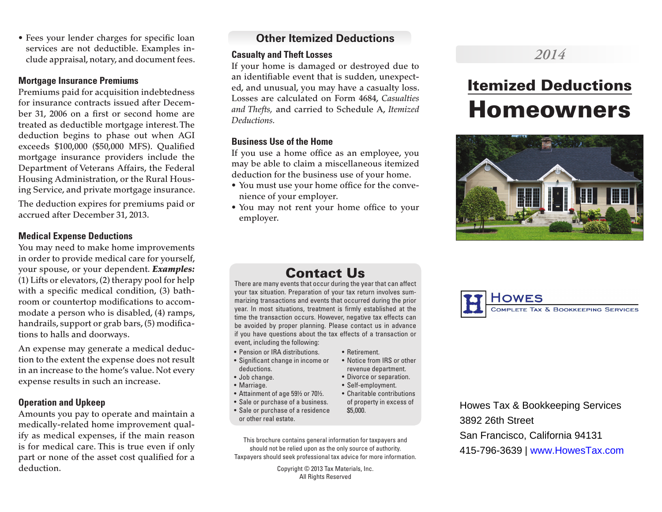• Fees your lender charges for specific loan services are not deductible. Examples include appraisal, notary, and document fees.

#### **Mortgage Insurance Premiums**

Premiums paid for acquisition indebtedness for insurance contracts issued after December 31, 2006 on a first or second home are treated as deductible mortgage interest. The deduction begins to phase out when AGI exceeds \$100,000 (\$50,000 MFS). Qualified mortgage insurance providers include the Department of Veterans Affairs, the Federal Housing Administration, or the Rural Housing Service, and private mortgage insurance.

The deduction expires for premiums paid or accrued after December 31, 2013.

#### **Medical Expense Deductions**

You may need to make home improvements in order to provide medical care for yourself, your spouse, or your dependent. *Examples:* (1) Lifts or elevators, (2) therapy pool for help with a specific medical condition, (3) bathroom or countertop modifications to accommodate a person who is disabled, (4) ramps, handrails, support or grab bars, (5) modifications to halls and doorways.

An expense may generate a medical deduction to the extent the expense does not result in an increase to the home's value. Not every expense results in such an increase.

#### **Operation and Upkeep**

Amounts you pay to operate and maintain a medically-related home improvement qualify as medical expenses, if the main reason is for medical care. This is true even if only part or none of the asset cost qualified for a deduction.

# **Other Itemized Deductions**

## **Casualty and Theft Losses**

If your home is damaged or destroyed due to an identifiable event that is sudden, unexpected, and unusual, you may have a casualty loss. Losses are calculated on Form 4684, *Casualties and Thefts,* and carried to Schedule A, *Itemized Deductions.*

#### **Business Use of the Home**

If you use a home office as an employee, you may be able to claim a miscellaneous itemized deduction for the business use of your home.

- You must use your home office for the convenience of your employer.
- You may not rent your home office to your employer.

# *2014*

# Itemized Deductions Homeowners



# Contact Us

There are many events that occur during the year that can affect your tax situation. Preparation of your tax return involves summarizing transactions and events that occurred during the prior year. In most situations, treatment is firmly established at the time the transaction occurs. However, negative tax effects can be avoided by proper planning. Please contact us in advance if you have questions about the tax effects of a transaction or event, including the following:

• Retirement.

\$5,000.

• Notice from IRS or other revenue department. • Divorce or separation. • Self-employment.

of property in excess of

- Pension or IRA distributions.
- Significant change in income or deductions.
- Job change.
- Marriage.
- Attainment of age 59½ or 70½. • Charitable contributions
- Sale or purchase of a business.
- Sale or purchase of a residence or other real estate.
- This brochure contains general information for taxpayers and should not be relied upon as the only source of authority. Taxpayers should seek professional tax advice for more information.

Copyright © 2013 Tax Materials, Inc. All Rights Reserved



Howes Tax & Bookkeeping Services 3892 26th Street San Francisco, California 94131 415-796-3639 | www.HowesTax.com